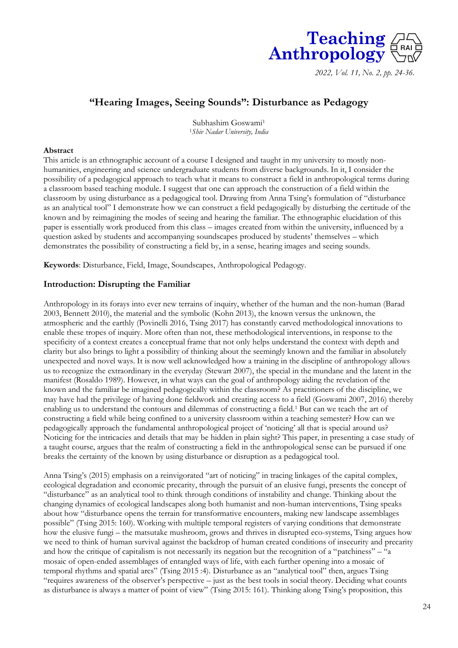

*2022, Vol. 11, No. 2, pp. 24-36.* 

# **"Hearing Images, Seeing Sounds": Disturbance as Pedagogy**

Subhashim Goswami<sup>1</sup> <sup>1</sup>*Shiv Nadar University, India*

#### **Abstract**

This article is an ethnographic account of a course I designed and taught in my university to mostly nonhumanities, engineering and science undergraduate students from diverse backgrounds. In it, I consider the possibility of a pedagogical approach to teach what it means to construct a field in anthropological terms during a classroom based teaching module. I suggest that one can approach the construction of a field within the classroom by using disturbance as a pedagogical tool. Drawing from Anna Tsing's formulation of "disturbance as an analytical tool" I demonstrate how we can construct a field pedagogically by disturbing the certitude of the known and by reimagining the modes of seeing and hearing the familiar. The ethnographic elucidation of this paper is essentially work produced from this class – images created from within the university, influenced by a question asked by students and accompanying soundscapes produced by students' themselves – which demonstrates the possibility of constructing a field by, in a sense, hearing images and seeing sounds.

**Keywords**: Disturbance, Field, Image, Soundscapes, Anthropological Pedagogy.

## **Introduction: Disrupting the Familiar**

Anthropology in its forays into ever new terrains of inquiry, whether of the human and the non-human (Barad 2003, Bennett 2010), the material and the symbolic (Kohn 2013), the known versus the unknown, the atmospheric and the earthly (Povinelli 2016, Tsing 2017) has constantly carved methodological innovations to enable these tropes of inquiry. More often than not, these methodological interventions, in response to the specificity of a context creates a conceptual frame that not only helps understand the context with depth and clarity but also brings to light a possibility of thinking about the seemingly known and the familiar in absolutely unexpected and novel ways. It is now well acknowledged how a training in the discipline of anthropology allows us to recognize the extraordinary in the everyday (Stewart 2007), the special in the mundane and the latent in the manifest (Rosaldo 1989). However, in what ways can the goal of anthropology aiding the revelation of the known and the familiar be imagined pedagogically within the classroom? As practitioners of the discipline, we may have had the privilege of having done fieldwork and creating access to a field (Goswami 2007, 2016) thereby enabling us to understand the contours and dilemmas of constructing a field.<sup>1</sup> But can we teach the art of constructing a field while being confined to a university classroom within a teaching semester? How can we pedagogically approach the fundamental anthropological project of 'noticing' all that is special around us? Noticing for the intricacies and details that may be hidden in plain sight? This paper, in presenting a case study of a taught course, argues that the realm of constructing a field in the anthropological sense can be pursued if one breaks the certainty of the known by using disturbance or disruption as a pedagogical tool.

Anna Tsing's (2015) emphasis on a reinvigorated "art of noticing" in tracing linkages of the capital complex, ecological degradation and economic precarity, through the pursuit of an elusive fungi, presents the concept of "disturbance" as an analytical tool to think through conditions of instability and change. Thinking about the changing dynamics of ecological landscapes along both humanist and non-human interventions, Tsing speaks about how "disturbance opens the terrain for transformative encounters, making new landscape assemblages possible" (Tsing 2015: 160). Working with multiple temporal registers of varying conditions that demonstrate how the elusive fungi – the matsutake mushroom, grows and thrives in disrupted eco-systems, Tsing argues how we need to think of human survival against the backdrop of human created conditions of insecurity and precarity and how the critique of capitalism is not necessarily its negation but the recognition of a "patchiness" – "a mosaic of open-ended assemblages of entangled ways of life, with each further opening into a mosaic of temporal rhythms and spatial arcs" (Tsing 2015 :4). Disturbance as an "analytical tool" then, argues Tsing "requires awareness of the observer's perspective – just as the best tools in social theory. Deciding what counts as disturbance is always a matter of point of view" (Tsing 2015: 161). Thinking along Tsing's proposition, this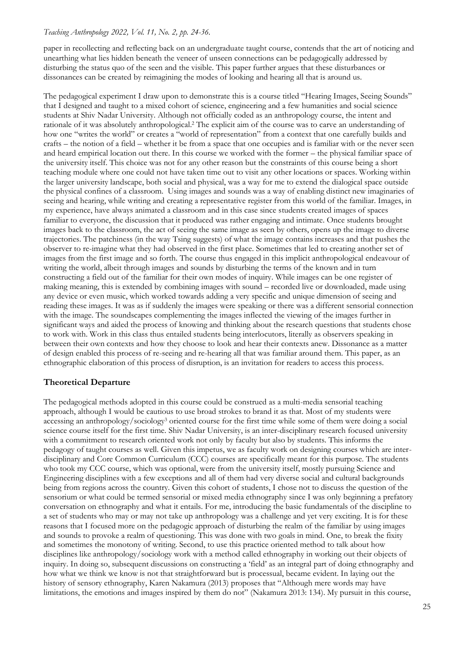paper in recollecting and reflecting back on an undergraduate taught course, contends that the art of noticing and unearthing what lies hidden beneath the veneer of unseen connections can be pedagogically addressed by disturbing the status quo of the seen and the visible. This paper further argues that these disturbances or dissonances can be created by reimagining the modes of looking and hearing all that is around us.

The pedagogical experiment I draw upon to demonstrate this is a course titled "Hearing Images, Seeing Sounds" that I designed and taught to a mixed cohort of science, engineering and a few humanities and social science students at Shiv Nadar University. Although not officially coded as an anthropology course, the intent and rationale of it was absolutely anthropological.<sup>2</sup> The explicit aim of the course was to carve an understanding of how one "writes the world" or creates a "world of representation" from a context that one carefully builds and crafts – the notion of a field – whether it be from a space that one occupies and is familiar with or the never seen and heard empirical location out there. In this course we worked with the former – the physical familiar space of the university itself. This choice was not for any other reason but the constraints of this course being a short teaching module where one could not have taken time out to visit any other locations or spaces. Working within the larger university landscape, both social and physical, was a way for me to extend the dialogical space outside the physical confines of a classroom. Using images and sounds was a way of enabling distinct new imaginaries of seeing and hearing, while writing and creating a representative register from this world of the familiar. Images, in my experience, have always animated a classroom and in this case since students created images of spaces familiar to everyone, the discussion that it produced was rather engaging and intimate. Once students brought images back to the classroom, the act of seeing the same image as seen by others, opens up the image to diverse trajectories. The patchiness (in the way Tsing suggests) of what the image contains increases and that pushes the observer to re-imagine what they had observed in the first place. Sometimes that led to creating another set of images from the first image and so forth. The course thus engaged in this implicit anthropological endeavour of writing the world, albeit through images and sounds by disturbing the terms of the known and in turn constructing a field out of the familiar for their own modes of inquiry. While images can be one register of making meaning, this is extended by combining images with sound – recorded live or downloaded, made using any device or even music, which worked towards adding a very specific and unique dimension of seeing and reading these images. It was as if suddenly the images were speaking or there was a different sensorial connection with the image. The soundscapes complementing the images inflected the viewing of the images further in significant ways and aided the process of knowing and thinking about the research questions that students chose to work with. Work in this class thus entailed students being interlocutors, literally as observers speaking in between their own contexts and how they choose to look and hear their contexts anew. Dissonance as a matter of design enabled this process of re-seeing and re-hearing all that was familiar around them. This paper, as an ethnographic elaboration of this process of disruption, is an invitation for readers to access this process.

# **Theoretical Departure**

The pedagogical methods adopted in this course could be construed as a multi-media sensorial teaching approach, although I would be cautious to use broad strokes to brand it as that. Most of my students were accessing an anthropology/sociology<sup>3</sup> oriented course for the first time while some of them were doing a social science course itself for the first time. Shiv Nadar University, is an inter-disciplinary research focused university with a commitment to research oriented work not only by faculty but also by students. This informs the pedagogy of taught courses as well. Given this impetus, we as faculty work on designing courses which are interdisciplinary and Core Common Curriculum (CCC) courses are specifically meant for this purpose. The students who took my CCC course, which was optional, were from the university itself, mostly pursuing Science and Engineering disciplines with a few exceptions and all of them had very diverse social and cultural backgrounds being from regions across the country. Given this cohort of students, I chose not to discuss the question of the sensorium or what could be termed sensorial or mixed media ethnography since I was only beginning a prefatory conversation on ethnography and what it entails. For me, introducing the basic fundamentals of the discipline to a set of students who may or may not take up anthropology was a challenge and yet very exciting. It is for these reasons that I focused more on the pedagogic approach of disturbing the realm of the familiar by using images and sounds to provoke a realm of questioning. This was done with two goals in mind. One, to break the fixity and sometimes the monotony of writing. Second, to use this practice oriented method to talk about how disciplines like anthropology/sociology work with a method called ethnography in working out their objects of inquiry. In doing so, subsequent discussions on constructing a 'field' as an integral part of doing ethnography and how what we think we know is not that straightforward but is processual, became evident. In laying out the history of sensory ethnography, Karen Nakamura (2013) proposes that "Although mere words may have limitations, the emotions and images inspired by them do not" (Nakamura 2013: 134). My pursuit in this course,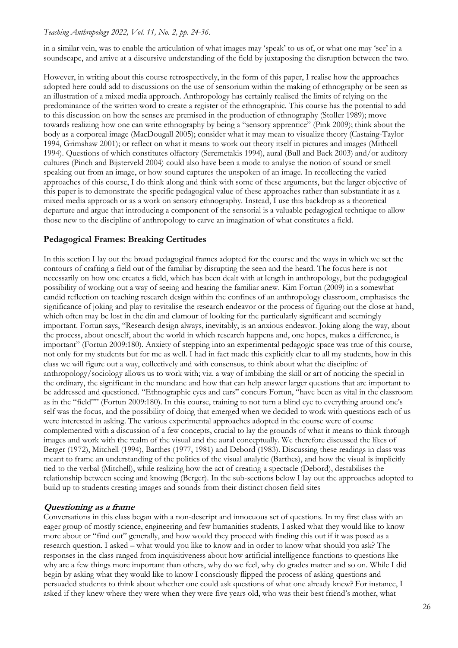in a similar vein, was to enable the articulation of what images may 'speak' to us of, or what one may 'see' in a soundscape, and arrive at a discursive understanding of the field by juxtaposing the disruption between the two.

However, in writing about this course retrospectively, in the form of this paper, I realise how the approaches adopted here could add to discussions on the use of sensorium within the making of ethnography or be seen as an illustration of a mixed media approach. Anthropology has certainly realised the limits of relying on the predominance of the written word to create a register of the ethnographic. This course has the potential to add to this discussion on how the senses are premised in the production of ethnography (Stoller 1989); move towards realizing how one can write ethnography by being a "sensory apprentice" (Pink 2009); think about the body as a corporeal image (MacDougall 2005); consider what it may mean to visualize theory (Castaing-Taylor 1994, Grimshaw 2001); or reflect on what it means to work out theory itself in pictures and images (Mithcell 1994). Questions of which constitutes olfactory (Seremetakis 1994), aural (Bull and Back 2003) and/or auditory cultures (Pinch and Bijsterveld 2004) could also have been a mode to analyse the notion of sound or smell speaking out from an image, or how sound captures the unspoken of an image. In recollecting the varied approaches of this course, I do think along and think with some of these arguments, but the larger objective of this paper is to demonstrate the specific pedagogical value of these approaches rather than substantiate it as a mixed media approach or as a work on sensory ethnography. Instead, I use this backdrop as a theoretical departure and argue that introducing a component of the sensorial is a valuable pedagogical technique to allow those new to the discipline of anthropology to carve an imagination of what constitutes a field.

# **Pedagogical Frames: Breaking Certitudes**

In this section I lay out the broad pedagogical frames adopted for the course and the ways in which we set the contours of crafting a field out of the familiar by disrupting the seen and the heard. The focus here is not necessarily on how one creates a field, which has been dealt with at length in anthropology, but the pedagogical possibility of working out a way of seeing and hearing the familiar anew. Kim Fortun (2009) in a somewhat candid reflection on teaching research design within the confines of an anthropology classroom, emphasises the significance of joking and play to revitalise the research endeavor or the process of figuring out the close at hand, which often may be lost in the din and clamour of looking for the particularly significant and seemingly important. Fortun says, "Research design always, inevitably, is an anxious endeavor. Joking along the way, about the process, about oneself, about the world in which research happens and, one hopes, makes a difference, is important" (Fortun 2009:180). Anxiety of stepping into an experimental pedagogic space was true of this course, not only for my students but for me as well. I had in fact made this explicitly clear to all my students, how in this class we will figure out a way, collectively and with consensus, to think about what the discipline of anthropology/sociology allows us to work with; viz. a way of imbibing the skill or art of noticing the special in the ordinary, the significant in the mundane and how that can help answer larger questions that are important to be addressed and questioned. "Ethnographic eyes and ears" concurs Fortun, "have been as vital in the classroom as in the "field"" (Fortun 2009:180). In this course, training to not turn a blind eye to everything around one's self was the focus, and the possibility of doing that emerged when we decided to work with questions each of us were interested in asking. The various experimental approaches adopted in the course were of course complemented with a discussion of a few concepts, crucial to lay the grounds of what it means to think through images and work with the realm of the visual and the aural conceptually. We therefore discussed the likes of Berger (1972), Mitchell (1994), Barthes (1977, 1981) and Debord (1983). Discussing these readings in class was meant to frame an understanding of the politics of the visual analytic (Barthes), and how the visual is implicitly tied to the verbal (Mitchell), while realizing how the act of creating a spectacle (Debord), destabilises the relationship between seeing and knowing (Berger). In the sub-sections below I lay out the approaches adopted to build up to students creating images and sounds from their distinct chosen field sites

# **Questioning as a frame**

Conversations in this class began with a non-descript and innocuous set of questions. In my first class with an eager group of mostly science, engineering and few humanities students, I asked what they would like to know more about or "find out" generally, and how would they proceed with finding this out if it was posed as a research question. I asked – what would you like to know and in order to know what should you ask? The responses in the class ranged from inquisitiveness about how artificial intelligence functions to questions like why are a few things more important than others, why do we feel, why do grades matter and so on. While I did begin by asking what they would like to know I consciously flipped the process of asking questions and persuaded students to think about whether one could ask questions of what one already knew? For instance, I asked if they knew where they were when they were five years old, who was their best friend's mother, what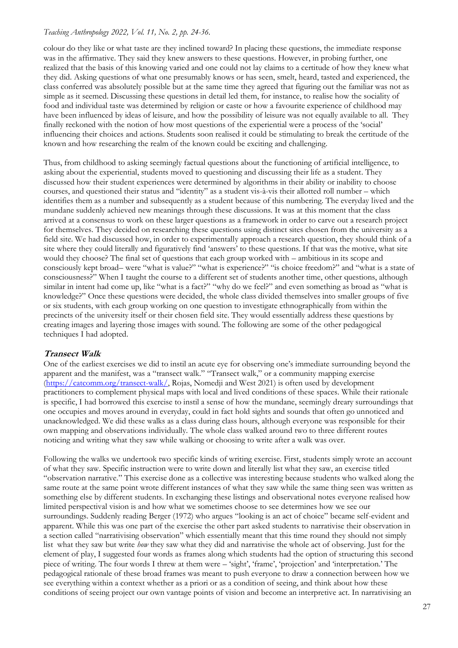colour do they like or what taste are they inclined toward? In placing these questions, the immediate response was in the affirmative. They said they knew answers to these questions. However, in probing further, one realized that the basis of this knowing varied and one could not lay claims to a certitude of how they knew what they did. Asking questions of what one presumably knows or has seen, smelt, heard, tasted and experienced, the class conferred was absolutely possible but at the same time they agreed that figuring out the familiar was not as simple as it seemed. Discussing these questions in detail led them, for instance, to realise how the sociality of food and individual taste was determined by religion or caste or how a favourite experience of childhood may have been influenced by ideas of leisure, and how the possibility of leisure was not equally available to all. They finally reckoned with the notion of how most questions of the experiential were a process of the 'social' influencing their choices and actions. Students soon realised it could be stimulating to break the certitude of the known and how researching the realm of the known could be exciting and challenging.

Thus, from childhood to asking seemingly factual questions about the functioning of artificial intelligence, to asking about the experiential, students moved to questioning and discussing their life as a student. They discussed how their student experiences were determined by algorithms in their ability or inability to choose courses, and questioned their status and "identity" as a student vis-à-vis their allotted roll number – which identifies them as a number and subsequently as a student because of this numbering. The everyday lived and the mundane suddenly achieved new meanings through these discussions. It was at this moment that the class arrived at a consensus to work on these larger questions as a framework in order to carve out a research project for themselves. They decided on researching these questions using distinct sites chosen from the university as a field site. We had discussed how, in order to experimentally approach a research question, they should think of a site where they could literally and figuratively find 'answers' to these questions. If that was the motive, what site would they choose? The final set of questions that each group worked with – ambitious in its scope and consciously kept broad– were "what is value?" "what is experience?" "is choice freedom?" and "what is a state of consciousness?" When I taught the course to a different set of students another time, other questions, although similar in intent had come up, like "what is a fact?" "why do we feel?" and even something as broad as "what is knowledge?" Once these questions were decided, the whole class divided themselves into smaller groups of five or six students, with each group working on one question to investigate ethnographically from within the precincts of the university itself or their chosen field site. They would essentially address these questions by creating images and layering those images with sound. The following are some of the other pedagogical techniques I had adopted.

# **Transect Walk**

One of the earliest exercises we did to instil an acute eye for observing one's immediate surrounding beyond the apparent and the manifest, was a "transect walk." "Transect walk," or a community mapping exercise [\(https://catcomm.org/transect-walk/,](https://catcomm.org/transect-walk/) Rojas, Nomedji and West 2021) is often used by development practitioners to complement physical maps with local and lived conditions of these spaces. While their rationale is specific, I had borrowed this exercise to instil a sense of how the mundane, seemingly dreary surroundings that one occupies and moves around in everyday, could in fact hold sights and sounds that often go unnoticed and unacknowledged. We did these walks as a class during class hours, although everyone was responsible for their own mapping and observations individually. The whole class walked around two to three different routes noticing and writing what they saw while walking or choosing to write after a walk was over.

Following the walks we undertook two specific kinds of writing exercise. First, students simply wrote an account of what they saw. Specific instruction were to write down and literally list what they saw, an exercise titled "observation narrative." This exercise done as a collective was interesting because students who walked along the same route at the same point wrote different instances of what they saw while the same thing seen was written as something else by different students. In exchanging these listings and observational notes everyone realised how limited perspectival vision is and how what we sometimes choose to see determines how we see our surroundings. Suddenly reading Berger (1972) who argues "looking is an act of choice" became self-evident and apparent. While this was one part of the exercise the other part asked students to narrativise their observation in a section called "narrativising observation" which essentially meant that this time round they should not simply list what they saw but write *how* they saw what they did and narrativise the whole act of observing. Just for the element of play, I suggested four words as frames along which students had the option of structuring this second piece of writing. The four words I threw at them were – 'sight', 'frame', 'projection' and 'interpretation.' The pedagogical rationale of these broad frames was meant to push everyone to draw a connection between how we see everything within a context whether as a priori or as a condition of seeing, and think about how these conditions of seeing project our own vantage points of vision and become an interpretive act. In narrativising an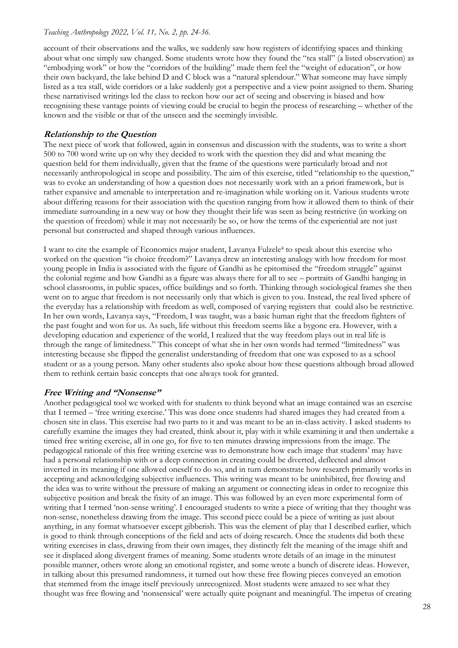account of their observations and the walks, we suddenly saw how registers of identifying spaces and thinking about what one simply saw changed. Some students wrote how they found the "tea stall" (a listed observation) as "embodying work" or how the "corridors of the building" made them feel the "weight of education", or how their own backyard, the lake behind D and C block was a "natural splendour." What someone may have simply listed as a tea stall, wide corridors or a lake suddenly got a perspective and a view point assigned to them. Sharing these narrativised writings led the class to reckon how our act of seeing and observing is biased and how recognising these vantage points of viewing could be crucial to begin the process of researching – whether of the known and the visible or that of the unseen and the seemingly invisible.

# **Relationship to the Question**

The next piece of work that followed, again in consensus and discussion with the students, was to write a short 500 to 700 word write up on why they decided to work with the question they did and what meaning the question held for them individually, given that the frame of the questions were particularly broad and not necessarily anthropological in scope and possibility. The aim of this exercise, titled "relationship to the question," was to evoke an understanding of how a question does not necessarily work with an a priori framework, but is rather expansive and amenable to interpretation and re-imagination while working on it. Various students wrote about differing reasons for their association with the question ranging from how it allowed them to think of their immediate surrounding in a new way or how they thought their life was seen as being restrictive (in working on the question of freedom) while it may not necessarily be so, or how the terms of the experiential are not just personal but constructed and shaped through various influences.

I want to cite the example of Economics major student, Lavanya Fulzele<sup>4</sup> to speak about this exercise who worked on the question "is choice freedom?" Lavanya drew an interesting analogy with how freedom for most young people in India is associated with the figure of Gandhi as he epitomised the "freedom struggle" against the colonial regime and how Gandhi as a figure was always there for all to see – portraits of Gandhi hanging in school classrooms, in public spaces, office buildings and so forth. Thinking through sociological frames she then went on to argue that freedom is not necessarily only that which is given to you. Instead, the real lived sphere of the everyday has a relationship with freedom as well, composed of varying registers that could also be restrictive. In her own words, Lavanya says, "Freedom, I was taught, was a basic human right that the freedom fighters of the past fought and won for us. As such, life without this freedom seems like a bygone era. However, with a developing education and experience of the world, I realized that the way freedom plays out in real life is through the range of limitedness." This concept of what she in her own words had termed "limitedness" was interesting because she flipped the generalist understanding of freedom that one was exposed to as a school student or as a young person. Many other students also spoke about how these questions although broad allowed them to rethink certain basic concepts that one always took for granted.

# **Free Writing and "Nonsense"**

Another pedagogical tool we worked with for students to think beyond what an image contained was an exercise that I termed – 'free writing exercise.' This was done once students had shared images they had created from a chosen site in class. This exercise had two parts to it and was meant to be an in-class activity. I asked students to carefully examine the images they had created, think about it, play with it while examining it and then undertake a timed free writing exercise, all in one go, for five to ten minutes drawing impressions from the image. The pedagogical rationale of this free writing exercise was to demonstrate how each image that students' may have had a personal relationship with or a deep connection in creating could be diverted, deflected and almost inverted in its meaning if one allowed oneself to do so, and in turn demonstrate how research primarily works in accepting and acknowledging subjective influences. This writing was meant to be uninhibited, free flowing and the idea was to write without the pressure of making an argument or connecting ideas in order to recognize this subjective position and break the fixity of an image. This was followed by an even more experimental form of writing that I termed 'non-sense writing'. I encouraged students to write a piece of writing that they thought was non-sense, nonetheless drawing from the image. This second piece could be a piece of writing as just about anything, in any format whatsoever except gibberish. This was the element of play that I described earlier, which is good to think through conceptions of the field and acts of doing research. Once the students did both these writing exercises in class, drawing from their own images, they distinctly felt the meaning of the image shift and see it displaced along divergent frames of meaning. Some students wrote details of an image in the minutest possible manner, others wrote along an emotional register, and some wrote a bunch of discrete ideas. However, in talking about this presumed randomness, it turned out how these free flowing pieces conveyed an emotion that stemmed from the image itself previously unrecognized. Most students were amazed to see what they thought was free flowing and 'nonsensical' were actually quite poignant and meaningful. The impetus of creating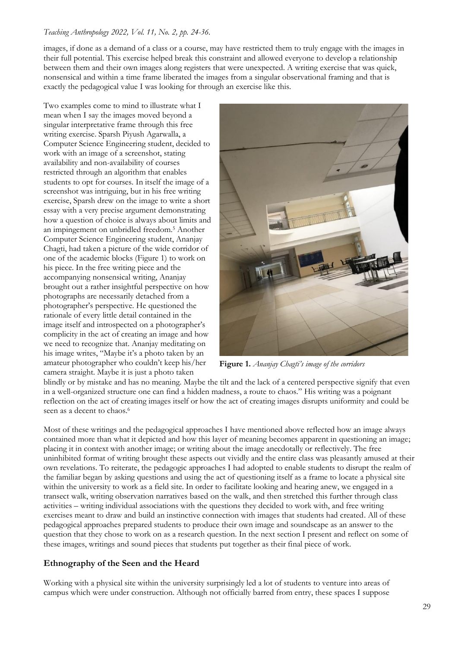images, if done as a demand of a class or a course, may have restricted them to truly engage with the images in their full potential. This exercise helped break this constraint and allowed everyone to develop a relationship between them and their own images along registers that were unexpected. A writing exercise that was quick, nonsensical and within a time frame liberated the images from a singular observational framing and that is exactly the pedagogical value I was looking for through an exercise like this.

Two examples come to mind to illustrate what I mean when I say the images moved beyond a singular interpretative frame through this free writing exercise. Sparsh Piyush Agarwalla, a Computer Science Engineering student, decided to work with an image of a screenshot, stating availability and non-availability of courses restricted through an algorithm that enables students to opt for courses. In itself the image of a screenshot was intriguing, but in his free writing exercise, Sparsh drew on the image to write a short essay with a very precise argument demonstrating how a question of choice is always about limits and an impingement on unbridled freedom.<sup>5</sup> Another Computer Science Engineering student, Ananjay Chagti, had taken a picture of the wide corridor of one of the academic blocks (Figure 1) to work on his piece. In the free writing piece and the accompanying nonsensical writing, Ananjay brought out a rather insightful perspective on how photographs are necessarily detached from a photographer's perspective. He questioned the rationale of every little detail contained in the image itself and introspected on a photographer's complicity in the act of creating an image and how we need to recognize that. Ananjay meditating on his image writes, "Maybe it's a photo taken by an amateur photographer who couldn't keep his/her camera straight. Maybe it is just a photo taken



**Figure 1.** *Ananjay Chagti's image of the corridors*

blindly or by mistake and has no meaning. Maybe the tilt and the lack of a centered perspective signify that even in a well-organized structure one can find a hidden madness, a route to chaos." His writing was a poignant reflection on the act of creating images itself or how the act of creating images disrupts uniformity and could be seen as a decent to chaos.<sup>6</sup>

Most of these writings and the pedagogical approaches I have mentioned above reflected how an image always contained more than what it depicted and how this layer of meaning becomes apparent in questioning an image; placing it in context with another image; or writing about the image anecdotally or reflectively. The free uninhibited format of writing brought these aspects out vividly and the entire class was pleasantly amused at their own revelations. To reiterate, the pedagogic approaches I had adopted to enable students to disrupt the realm of the familiar began by asking questions and using the act of questioning itself as a frame to locate a physical site within the university to work as a field site. In order to facilitate looking and hearing anew, we engaged in a transect walk, writing observation narratives based on the walk, and then stretched this further through class activities – writing individual associations with the questions they decided to work with, and free writing exercises meant to draw and build an instinctive connection with images that students had created. All of these pedagogical approaches prepared students to produce their own image and soundscape as an answer to the question that they chose to work on as a research question. In the next section I present and reflect on some of these images, writings and sound pieces that students put together as their final piece of work.

# **Ethnography of the Seen and the Heard**

Working with a physical site within the university surprisingly led a lot of students to venture into areas of campus which were under construction. Although not officially barred from entry, these spaces I suppose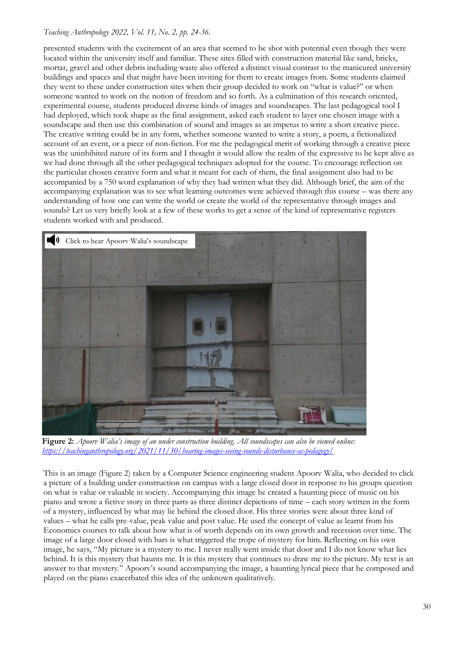presented students with the excitement of an area that seemed to be shot with potential even though they were located within the university itself and familiar. These sites filled with construction material like sand, bricks, mortar, gravel and other debris including waste also offered a distinct visual contrast to the manicured university buildings and spaces and that might have been inviting for them to create images from. Some students claimed they went to these under construction sites when their group decided to work on "what is value?" or when someone wanted to work on the notion of freedom and so forth. As a culmination of this research oriented, experimental course, students produced diverse kinds of images and soundscapes. The last pedagogical tool I had deployed, which took shape as the final assignment, asked each student to layer one chosen image with a soundscape and then use this combination of sound and images as an impetus to write a short creative piece. The creative writing could be in any form, whether someone wanted to write a story, a poem, a fictionalized account of an event, or a piece of non-fiction. For me the pedagogical merit of working through a creative piece was the uninhibited nature of its form and I thought it would allow the realm of the expressive to be kept alive as we had done through all the other pedagogical techniques adopted for the course. To encourage reflection on the particular chosen creative form and what it meant for each of them, the final assignment also had to be accompanied by a 750 word explanation of why they had written what they did. Although brief, the aim of the accompanying explanation was to see what learning outcomes were achieved through this course – was there any understanding of how one can write the world or create the world of the representative through images and sounds? Let us very briefly look at a few of these works to get a sense of the kind of representative registers students worked with and produced.



**Figure 2:** *Apoorv Walia's image of an under construction building. All soundscapes can also be viewed online: <https://teachinganthropology.org/2021/11/30/hearing-images-seeing-sounds-disturbance-as-pedagogy/>*

This is an image (Figure 2) taken by a Computer Science engineering student Apoorv Walia, who decided to click a picture of a building under construction on campus with a large closed door in response to his groups question on what is value or valuable in society. Accompanying this image he created a haunting piece of music on his piano and wrote a fictive story in three parts as three distinct depictions of time – each story written in the form of a mystery, influenced by what may lie behind the closed door. His three stories were about three kind of values – what he calls pre-value, peak value and post value. He used the concept of value as learnt from his Economics courses to talk about how what is of worth depends on its own growth and recession over time. The image of a large door closed with bars is what triggered the trope of mystery for him. Reflecting on his own image, he says, "My picture is a mystery to me. I never really went inside that door and I do not know what lies behind. It is this mystery that haunts me. It is this mystery that continues to draw me to the picture. My text is an answer to that mystery." Apoorv's sound accompanying the image, a haunting lyrical piece that he composed and played on the piano exacerbated this idea of the unknown qualitatively.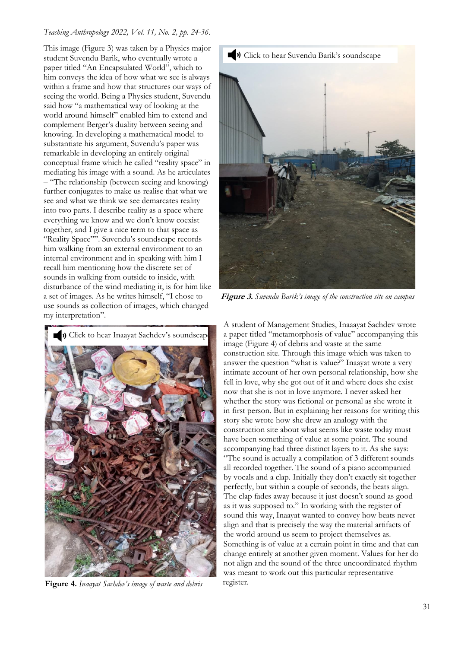This image (Figure 3) was taken by a Physics major student Suvendu Barik, who eventually wrote a paper titled "An Encapsulated World", which to him conveys the idea of how what we see is always within a frame and how that structures our ways of seeing the world. Being a Physics student, Suvendu said how "a mathematical way of looking at the world around himself" enabled him to extend and complement Berger's duality between seeing and knowing. In developing a mathematical model to substantiate his argument, Suvendu's paper was remarkable in developing an entirely original conceptual frame which he called "reality space" in mediating his image with a sound. As he articulates – "The relationship (between seeing and knowing) further conjugates to make us realise that what we see and what we think we see demarcates reality into two parts. I describe reality as a space where everything we know and we don't know coexist together, and I give a nice term to that space as "Reality Space"". Suvendu's soundscape records him walking from an external environment to an internal environment and in speaking with him I recall him mentioning how the discrete set of sounds in walking from outside to inside, with disturbance of the wind mediating it, is for him like a set of images. As he writes himself, "I chose to use sounds as collection of images, which changed my interpretation".



**Figure 3.** *Suvendu Barik's image of the construction site on campus*



**Figure 4.** *Inaayat Sachdev's image of waste and debris*

A student of Management Studies, Inaaayat Sachdev wrote a paper titled "metamorphosis of value" accompanying this image (Figure 4) of debris and waste at the same construction site. Through this image which was taken to answer the question "what is value?" Inaayat wrote a very intimate account of her own personal relationship, how she fell in love, why she got out of it and where does she exist now that she is not in love anymore. I never asked her whether the story was fictional or personal as she wrote it in first person. But in explaining her reasons for writing this story she wrote how she drew an analogy with the construction site about what seems like waste today must have been something of value at some point. The sound accompanying had three distinct layers to it. As she says: "The sound is actually a compilation of 3 different sounds all recorded together. The sound of a piano accompanied by vocals and a clap. Initially they don't exactly sit together perfectly, but within a couple of seconds, the beats align. The clap fades away because it just doesn't sound as good as it was supposed to." In working with the register of sound this way, Inaayat wanted to convey how beats never align and that is precisely the way the material artifacts of the world around us seem to project themselves as. Something is of value at a certain point in time and that can change entirely at another given moment. Values for her do not align and the sound of the three uncoordinated rhythm was meant to work out this particular representative register.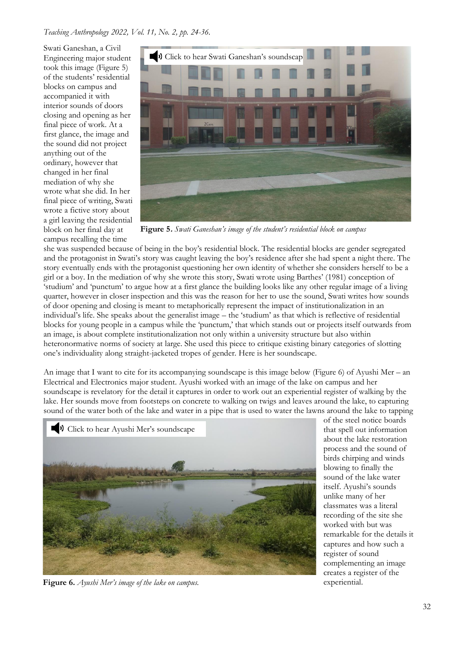Swati Ganeshan, a Civil Engineering major student took this image (Figure 5) of the students' residential blocks on campus and accompanied it with interior sounds of doors closing and opening as her final piece of work. At a first glance, the image and the sound did not project anything out of the ordinary, however that changed in her final mediation of why she wrote what she did. In her final piece of writing, Swati wrote a fictive story about a girl leaving the residential block on her final day at campus recalling the time



**Figure 5.** *Swati Ganeshan's image of the student's residential block on campus*

she was suspended because of being in the boy's residential block. The residential blocks are gender segregated and the protagonist in Swati's story was caught leaving the boy's residence after she had spent a night there. The story eventually ends with the protagonist questioning her own identity of whether she considers herself to be a girl or a boy. In the mediation of why she wrote this story, Swati wrote using Barthes' (1981) conception of 'studium' and 'punctum' to argue how at a first glance the building looks like any other regular image of a living quarter, however in closer inspection and this was the reason for her to use the sound, Swati writes how sounds of door opening and closing is meant to metaphorically represent the impact of institutionalization in an individual's life. She speaks about the generalist image – the 'studium' as that which is reflective of residential blocks for young people in a campus while the 'punctum,' that which stands out or projects itself outwards from an image, is about complete institutionalization not only within a university structure but also within heteronormative norms of society at large. She used this piece to critique existing binary categories of slotting one's individuality along straight-jacketed tropes of gender. Here is her soundscape.

An image that I want to cite for its accompanying soundscape is this image below (Figure 6) of Ayushi Mer – an Electrical and Electronics major student. Ayushi worked with an image of the lake on campus and her soundscape is revelatory for the detail it captures in order to work out an experiential register of walking by the lake. Her sounds move from footsteps on concrete to walking on twigs and leaves around the lake, to capturing sound of the water both of the lake and water in a pipe that is used to water the lawns around the lake to tapping



**Figure 6.** *Ayushi Mer's image of the lake on campus.*

of the steel notice boards that spell out information about the lake restoration process and the sound of birds chirping and winds blowing to finally the sound of the lake water itself. Ayushi's sounds unlike many of her classmates was a literal recording of the site she worked with but was remarkable for the details it captures and how such a register of sound complementing an image creates a register of the experiential.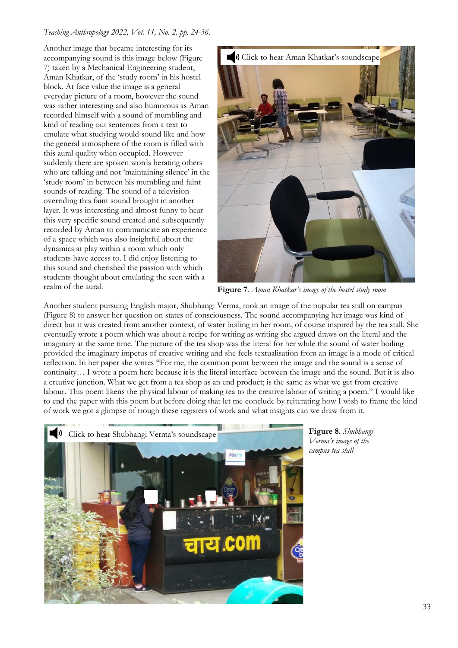Another image that became interesting for its accompanying sound is this image below (Figure 7) taken by a Mechanical Engineering student, Aman Khatkar, of the 'study room' in his hostel block. At face value the image is a general everyday picture of a room, however the sound was rather interesting and also humorous as Aman recorded himself with a sound of mumbling and kind of reading out sentences from a text to emulate what studying would sound like and how the general atmosphere of the room is filled with this aural quality when occupied. However suddenly there are spoken words berating others who are talking and not 'maintaining silence' in the 'study room' in between his mumbling and faint sounds of reading. The sound of a television overriding this faint sound brought in another layer. It was interesting and almost funny to hear this very specific sound created and subsequently recorded by Aman to communicate an experience of a space which was also insightful about the dynamics at play within a room which only students have access to. I did enjoy listening to this sound and cherished the passion with which students thought about emulating the seen with a realm of the aural.



**Figure 7**. *Aman Khatkar's image of the hostel study room*

Another student pursuing English major, Shubhangi Verma, took an image of the popular tea stall on campus (Figure 8) to answer her question on states of consciousness. The sound accompanying her image was kind of direct but it was created from another context, of water boiling in her room, of course inspired by the tea stall. She eventually wrote a poem which was about a recipe for writing as writing she argued draws on the literal and the imaginary at the same time. The picture of the tea shop was the literal for her while the sound of water boiling provided the imaginary impetus of creative writing and she feels textualisation from an image is a mode of critical reflection. In her paper she writes "For me, the common point between the image and the sound is a sense of continuity… I wrote a poem here because it is the literal interface between the image and the sound. But it is also a creative junction. What we get from a tea shop as an end product; is the same as what we get from creative labour. This poem likens the physical labour of making tea to the creative labour of writing a poem." I would like to end the paper with this poem but before doing that let me conclude by reiterating how I wish to frame the kind of work we got a glimpse of trough these registers of work and what insights can we draw from it.



**Figure 8.** *Shubhangi Verma's image of the campus tea stall*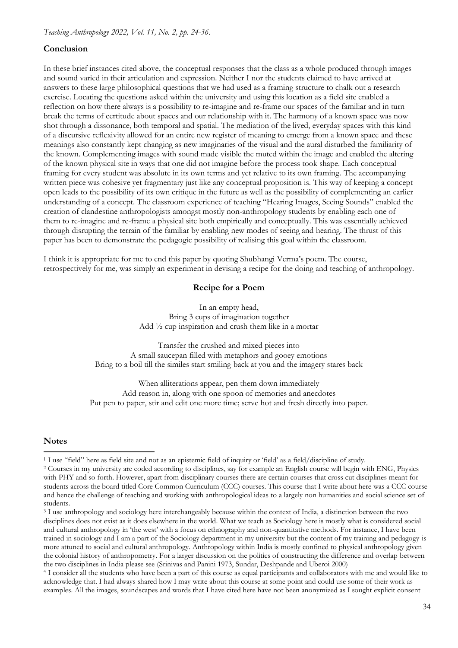# **Conclusion**

In these brief instances cited above, the conceptual responses that the class as a whole produced through images and sound varied in their articulation and expression. Neither I nor the students claimed to have arrived at answers to these large philosophical questions that we had used as a framing structure to chalk out a research exercise. Locating the questions asked within the university and using this location as a field site enabled a reflection on how there always is a possibility to re-imagine and re-frame our spaces of the familiar and in turn break the terms of certitude about spaces and our relationship with it. The harmony of a known space was now shot through a dissonance, both temporal and spatial. The mediation of the lived, everyday spaces with this kind of a discursive reflexivity allowed for an entire new register of meaning to emerge from a known space and these meanings also constantly kept changing as new imaginaries of the visual and the aural disturbed the familiarity of the known. Complementing images with sound made visible the muted within the image and enabled the altering of the known physical site in ways that one did not imagine before the process took shape. Each conceptual framing for every student was absolute in its own terms and yet relative to its own framing. The accompanying written piece was cohesive yet fragmentary just like any conceptual proposition is. This way of keeping a concept open leads to the possibility of its own critique in the future as well as the possibility of complementing an earlier understanding of a concept. The classroom experience of teaching "Hearing Images, Seeing Sounds" enabled the creation of clandestine anthropologists amongst mostly non-anthropology students by enabling each one of them to re-imagine and re-frame a physical site both empirically and conceptually. This was essentially achieved through disrupting the terrain of the familiar by enabling new modes of seeing and hearing. The thrust of this paper has been to demonstrate the pedagogic possibility of realising this goal within the classroom.

I think it is appropriate for me to end this paper by quoting Shubhangi Verma's poem. The course, retrospectively for me, was simply an experiment in devising a recipe for the doing and teaching of anthropology.

## **Recipe for a Poem**

In an empty head, Bring 3 cups of imagination together Add ½ cup inspiration and crush them like in a mortar

Transfer the crushed and mixed pieces into A small saucepan filled with metaphors and gooey emotions Bring to a boil till the similes start smiling back at you and the imagery stares back

When alliterations appear, pen them down immediately Add reason in, along with one spoon of memories and anecdotes Put pen to paper, stir and edit one more time; serve hot and fresh directly into paper.

## **Notes**

<sup>1</sup> I use "field" here as field site and not as an epistemic field of inquiry or 'field' as a field/discipline of study.

<sup>2</sup> Courses in my university are coded according to disciplines, say for example an English course will begin with ENG, Physics with PHY and so forth. However, apart from disciplinary courses there are certain courses that cross cut disciplines meant for students across the board titled Core Common Curriculum (CCC) courses. This course that I write about here was a CCC course and hence the challenge of teaching and working with anthropological ideas to a largely non humanities and social science set of students.

<sup>&</sup>lt;sup>3</sup> I use anthropology and sociology here interchangeably because within the context of India, a distinction between the two disciplines does not exist as it does elsewhere in the world. What we teach as Sociology here is mostly what is considered social and cultural anthropology in 'the west' with a focus on ethnography and non-quantitative methods. For instance, I have been trained in sociology and I am a part of the Sociology department in my university but the content of my training and pedagogy is more attuned to social and cultural anthropology. Anthropology within India is mostly confined to physical anthropology given the colonial history of anthropometry. For a larger discussion on the politics of constructing the difference and overlap between the two disciplines in India please see (Srinivas and Panini 1973, Sundar, Deshpande and Uberoi 2000)

<sup>4</sup> I consider all the students who have been a part of this course as equal participants and collaborators with me and would like to acknowledge that. I had always shared how I may write about this course at some point and could use some of their work as examples. All the images, soundscapes and words that I have cited here have not been anonymized as I sought explicit consent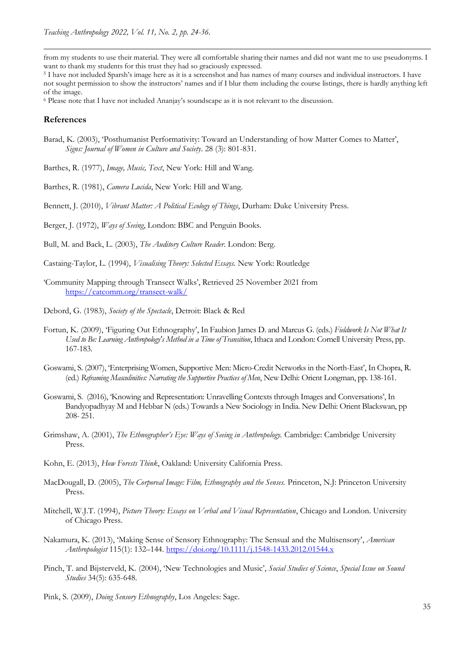from my students to use their material. They were all comfortable sharing their names and did not want me to use pseudonyms. I want to thank my students for this trust they had so graciously expressed.

<sup>5</sup> I have not included Sparsh's image here as it is a screenshot and has names of many courses and individual instructors. I have not sought permission to show the instructors' names and if I blur them including the course listings, there is hardly anything left of the image.

<sup>6</sup> Please note that I have not included Ananjay's soundscape as it is not relevant to the discussion.

#### **References**

Barad, K. (2003), 'Posthumanist Performativity: Toward an Understanding of how Matter Comes to Matter', *Signs: Journal of Women in Culture and Society*. 28 (3): 801-831.

Barthes, R. (1977), *Image, Music, Text*, New York: Hill and Wang.

Barthes, R. (1981), *Camera Lucida*, New York: Hill and Wang.

Bennett, J. (2010), *Vibrant Matter: A Political Ecology of Things*, Durham: Duke University Press.

Berger, J. (1972), *Ways of Seeing*, London: BBC and Penguin Books.

Bull, M. and Back, L. (2003), *The Auditory Culture Reader*. London: Berg.

Castaing-Taylor, L. (1994), *Visualising Theory: Selected Essays.* New York: Routledge

- 'Community Mapping through Transect Walks', Retrieved 25 November 2021 from <https://catcomm.org/transect-walk/>
- Debord, G. (1983), *Society of the Spectacle*, Detroit: Black & Red
- Fortun, K. (2009), 'Figuring Out Ethnography', In Faubion James D. and Marcus G. (eds.) *Fieldwork Is Not What It Used to Be: Learning Anthropology's Method in a Time of Transition*, Ithaca and London: Cornell University Press, pp. 167-183.
- Goswami, S. (2007), 'Enterprising Women, Supportive Men: Micro-Credit Networks in the North-East', In Chopra, R. (ed.) *Reframing Masculinities: Narrating the Supportive Practices of Men*, New Delhi: Orient Longman, pp. 138-161.
- Goswami, S. (2016), 'Knowing and Representation: Unravelling Contexts through Images and Conversations', In Bandyopadhyay M and Hebbar N (eds.) Towards a New Sociology in India. New Delhi: Orient Blackswan, pp 208- 251.
- Grimshaw, A. (2001), *The Ethnographer's Eye: Ways of Seeing in Anthropology.* Cambridge: Cambridge University Press.
- Kohn, E. (2013), *How Forests Think*, Oakland: University California Press.
- MacDougall, D. (2005), *The Corporeal Image: Film, Ethnography and the Senses.* Princeton, N.J: Princeton University Press.
- Mitchell, W.J.T. (1994), *Picture Theory: Essays on Verbal and Visual Representation*, Chicago and London. University of Chicago Press.
- Nakamura, K. (2013), 'Making Sense of Sensory Ethnography: The Sensual and the Multisensory', *American Anthropologist* 115(1): 132–144.<https://doi.org/10.1111/j.1548-1433.2012.01544.x>
- Pinch, T. and Bijsterveld, K. (2004), 'New Technologies and Music', *Social Studies of Science*, *Special Issue on Sound Studies* 34(5): 635-648.
- Pink, S. (2009), *Doing Sensory Ethnography*, Los Angeles: Sage.